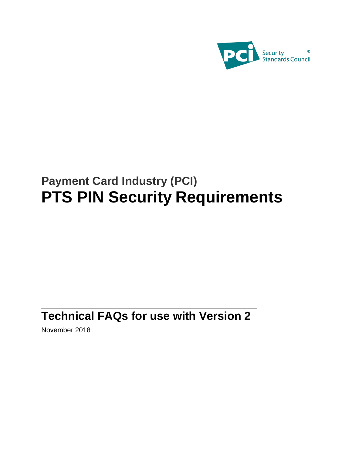

# **Payment Card Industry (PCI) PTS PIN Security Requirements**

## **Technical FAQs for use with Version 2**

November 2018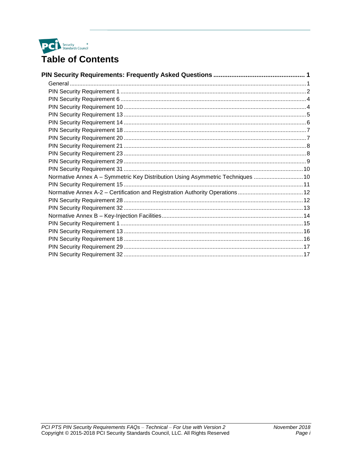

| Normative Annex A - Symmetric Key Distribution Using Asymmetric Techniques  10 |  |
|--------------------------------------------------------------------------------|--|
|                                                                                |  |
|                                                                                |  |
|                                                                                |  |
|                                                                                |  |
|                                                                                |  |
|                                                                                |  |
|                                                                                |  |
|                                                                                |  |
|                                                                                |  |
|                                                                                |  |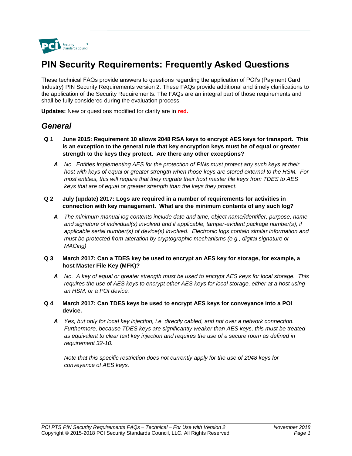

### **PIN Security Requirements: Frequently Asked Questions**

These technical FAQs provide answers to questions regarding the application of PCI's (Payment Card Industry) PIN Security Requirements version 2. These FAQs provide additional and timely clarifications to the application of the Security Requirements. The FAQs are an integral part of those requirements and shall be fully considered during the evaluation process.

**Updates:** New or questions modified for clarity are in **red.**

### *General*

- **Q 1 June 2015: Requirement 10 allows 2048 RSA keys to encrypt AES keys for transport. This is an exception to the general rule that key encryption keys must be of equal or greater strength to the keys they protect. Are there any other exceptions?**
	- *A No. Entities implementing AES for the protection of PINs must protect any such keys at their host with keys of equal or greater strength when those keys are stored external to the HSM. For most entities, this will require that they migrate their host master file keys from TDES to AES keys that are of equal or greater strength than the keys they protect.*
- **Q 2 July (update) 2017: Logs are required in a number of requirements for activities in connection with key management. What are the minimum contents of any such log?**
	- *A The minimum manual log contents include date and time, object name/identifier, purpose, name and signature of individual(s) involved and if applicable, tamper-evident package number(s), if applicable serial number(s) of device(s) involved. Electronic logs contain similar information and must be protected from alteration by cryptographic mechanisms (e.g., digital signature or MACing)*
- **Q 3 March 2017: Can a TDES key be used to encrypt an AES key for storage, for example, a host Master File Key (MFK)?**
	- *A No. A key of equal or greater strength must be used to encrypt AES keys for local storage. This requires the use of AES keys to encrypt other AES keys for local storage, either at a host using an HSM, or a POI device.*
- **Q 4 March 2017: Can TDES keys be used to encrypt AES keys for conveyance into a POI device.**
	- *A Yes, but only for local key injection, i.e. directly cabled, and not over a network connection. Furthermore, because TDES keys are significantly weaker than AES keys, this must be treated as equivalent to clear text key injection and requires the use of a secure room as defined in requirement 32-10.*

*Note that this specific restriction does not currently apply for the use of 2048 keys for conveyance of AES keys.*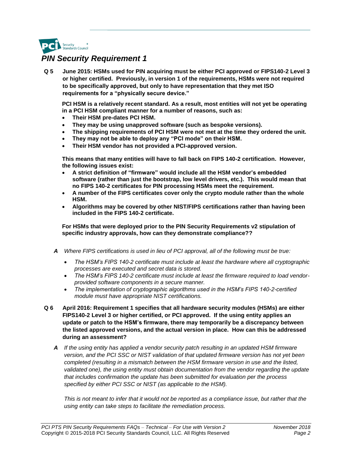

**Q 5 June 2015: HSMs used for PIN acquiring must be either PCI approved or FIPS140-2 Level 3 or higher certified. Previously, in version 1 of the requirements, HSMs were not required to be specifically approved, but only to have representation that they met ISO requirements for a "physically secure device."** 

**PCI HSM is a relatively recent standard. As a result, most entities will not yet be operating in a PCI HSM compliant manner for a number of reasons, such as:**

- **Their HSM pre-dates PCI HSM.**
- **They may be using unapproved software (such as bespoke versions).**
- **The shipping requirements of PCI HSM were not met at the time they ordered the unit.**
- **They may not be able to deploy any "PCI mode" on their HSM.**
- **Their HSM vendor has not provided a PCI-approved version.**

**This means that many entities will have to fall back on FIPS 140-2 certification. However, the following issues exist:**

- **A strict definition of "firmware" would include all the HSM vendor's embedded software (rather than just the bootstrap, low level drivers, etc.). This would mean that no FIPS 140-2 certificates for PIN processing HSMs meet the requirement.**
- **A number of the FIPS certificates cover only the crypto module rather than the whole HSM.**
- **Algorithms may be covered by other NIST/FIPS certifications rather than having been included in the FIPS 140-2 certificate.**

**For HSMs that were deployed prior to the PIN Security Requirements v2 stipulation of specific industry approvals, how can they demonstrate compliance??** 

- *A Where FIPS certifications is used in lieu of PCI approval, all of the following must be true:*
	- *The HSM's FIPS 140-2 certificate must include at least the hardware where all cryptographic processes are executed and secret data is stored.*
	- *The HSM's FIPS 140-2 certificate must include at least the firmware required to load vendorprovided software components in a secure manner.*
	- *The implementation of cryptographic algorithms used in the HSM's FIPS 140-2-certified module must have appropriate NIST certifications.*
- **Q 6 April 2016: Requirement 1 specifies that all hardware security modules (HSMs) are either FIPS140-2 Level 3 or higher certified, or PCI approved. If the using entity applies an update or patch to the HSM's firmware, there may temporarily be a discrepancy between the listed approved versions, and the actual version in place. How can this be addressed during an assessment?**
	- *A If the using entity has applied a vendor security patch resulting in an updated HSM firmware version, and the PCI SSC or NIST validation of that updated firmware version has not yet been*  completed (resulting in a mismatch between the HSM firmware version in use and the listed, *validated one), the using entity must obtain documentation from the vendor regarding the update that includes confirmation the update has been submitted for evaluation per the process specified by either PCI SSC or NIST (as applicable to the HSM).*

*This is not meant to infer that it would not be reported as a compliance issue, but rather that the using entity can take steps to facilitate the remediation process.*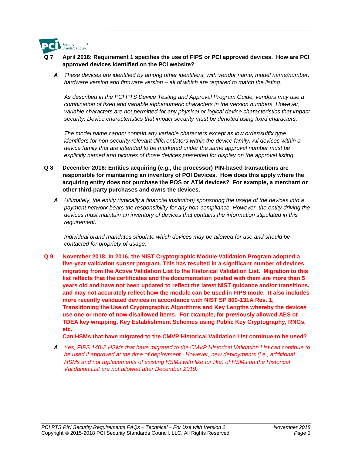

- **Q 7 April 2016: Requirement 1 specifies the use of FIPS or PCI approved devices. How are PCI approved devices identified on the PCI website?**
	- *A These devices are identified by among other identifiers, with vendor name, model name/number, hardware version and firmware version – all of which are required to match the listing.*

*As described in the PCI PTS Device Testing and Approval Program Guide, vendors may use a combination of fixed and variable alphanumeric characters in the version numbers. However, variable characters are not permitted for any physical or logical device characteristics that impact security. Device characteristics that impact security must be denoted using fixed characters.*

*The model name cannot contain any variable characters except as low order/suffix type identifiers for non-security relevant differentiators within the device family. All devices within a device family that are intended to be marketed under the same approval number must be explicitly named and pictures of those devices presented for display on the approval listing.*

- **Q 8 December 2016: Entities acquiring (e.g., the processor) PIN-based transactions are responsible for maintaining an inventory of POI Devices. How does this apply where the acquiring entity does not purchase the POS or ATM devices? For example, a merchant or other third-party purchases and owns the devices.**
	- *A Ultimately, the entity (typically a financial institution) sponsoring the usage of the devices into a payment network bears the responsibility for any non-compliance. However, the entity driving the devices must maintain an inventory of devices that contains the information stipulated in this requirement.*

*Individual brand mandates stipulate which devices may be allowed for use and should be contacted for propriety of usage.*

**Q 9 November 2018: In 2016, the NIST Cryptographic Module Validation Program adopted a five-year validation sunset program. This has resulted in a significant number of devices migrating from the Active Validation List to the Historical Validation List. Migration to this list reflects that the certificates and the documentation posted with them are more than 5 years old and have not been updated to reflect the latest NIST guidance and/or transitions, and may not accurately reflect how the module can be used in FIPS mode. It also includes more recently validated devices in accordance with NIST SP 800-131A Rev. 1, Transitioning the Use of Cryptographic Algorithms and Key Lengths whereby the devices use one or more of now disallowed items. For example, for previously allowed AES or TDEA key wrapping, Key Establishment Schemes using Public Key Cryptography, RNGs, etc.**

**Can HSMs that have migrated to the CMVP Historical Validation List continue to be used?**

*A Yes, FIPS 140-2 HSMs that have migrated to the CMVP Historical Validation List can continue to*  be used if approved at the time of deployment. However, new deployments (i.e., additional *HSMs and not replacements of existing HSMs with like for like) of HSMs on the Historical Validation List are not allowed after December 2019.*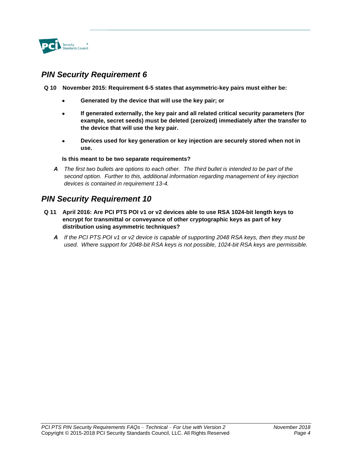

**Q 10 November 2015: Requirement 6-5 states that asymmetric-key pairs must either be:**

- **Generated by the device that will use the key pair; or**
- **If generated externally, the key pair and all related critical security parameters (for example, secret seeds) must be deleted (zeroized) immediately after the transfer to the device that will use the key pair.**
- **Devices used for key generation or key injection are securely stored when not in use.**

#### **Is this meant to be two separate requirements?**

*A The first two bullets are options to each other. The third bullet is intended to be part of the second option. Further to this, additional information regarding management of key injection devices is contained in requirement 13-4.*

- **Q 11 April 2016: Are PCI PTS POI v1 or v2 devices able to use RSA 1024-bit length keys to encrypt for transmittal or conveyance of other cryptographic keys as part of key distribution using asymmetric techniques?**
	- *A If the PCI PTS POI v1 or v2 device is capable of supporting 2048 RSA keys, then they must be used. Where support for 2048-bit RSA keys is not possible, 1024-bit RSA keys are permissible.*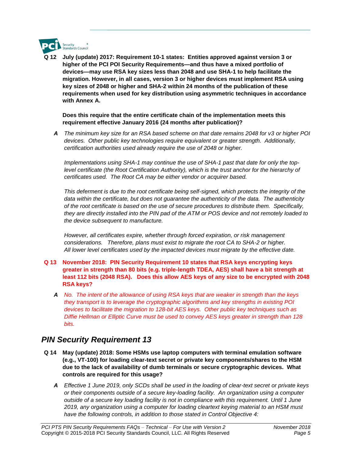

**Q 12 July (update) 2017: Requirement 10-1 states: Entities approved against version 3 or higher of the PCI POI Security Requirements—and thus have a mixed portfolio of devices—may use RSA key sizes less than 2048 and use SHA-1 to help facilitate the migration. However, in all cases, version 3 or higher devices must implement RSA using key sizes of 2048 or higher and SHA-2 within 24 months of the publication of these requirements when used for key distribution using asymmetric techniques in accordance with Annex A.**

#### **Does this require that the entire certificate chain of the implementation meets this requirement effective January 2016 (24 months after publication)?**

*A The minimum key size for an RSA based scheme on that date remains 2048 for v3 or higher POI devices. Other public key technologies require equivalent or greater strength. Additionally, certification authorities used already require the use of 2048 or higher.*

*Implementations using SHA-1 may continue the use of SHA-1 past that date for only the toplevel certificate (the Root Certification Authority), which is the trust anchor for the hierarchy of certificates used. The Root CA may be either vendor or acquirer based.* 

*This deferment is due to the root certificate being self-signed, which protects the integrity of the data within the certificate, but does not guarantee the authenticity of the data. The authenticity of the root certificate is based on the use of secure procedures to distribute them. Specifically, they are directly installed into the PIN pad of the ATM or POS device and not remotely loaded to the device subsequent to manufacture.*

*However, all certificates expire, whether through forced expiration, or risk management considerations. Therefore, plans must exist to migrate the root CA to SHA-2 or higher. All lower level certificates used by the impacted devices must migrate by the effective date.* 

- **Q 13 November 2018: PIN Security Requirement 10 states that RSA keys encrypting keys greater in strength than 80 bits (e.g. triple-length TDEA, AES) shall have a bit strength at least 112 bits (2048 RSA). Does this allow AES keys of any size to be encrypted with 2048 RSA keys?**
	- *A No. The intent of the allowance of using RSA keys that are weaker in strength than the keys they transport is to leverage the cryptographic algorithms and key strengths in existing POI devices to facilitate the migration to 128-bit AES keys. Other public key techniques such as Diffie Hellman or Elliptic Curve must be used to convey AES keys greater in strength than 128 bits.*

- **Q 14 May (update) 2018: Some HSMs use laptop computers with terminal emulation software (e.g., VT-100) for loading clear-text secret or private key components/shares to the HSM due to the lack of availability of dumb terminals or secure cryptographic devices. What controls are required for this usage?** 
	- *A Effective 1 June 2019, only SCDs shall be used in the loading of clear-text secret or private keys or their components outside of a secure key-loading facility. An organization using a computer outside of a secure key loading facility is not in compliance with this requirement. Until 1 June 2019, any organization using a computer for loading cleartext keying material to an HSM must have the following controls, in addition to those stated in Control Objective 4:*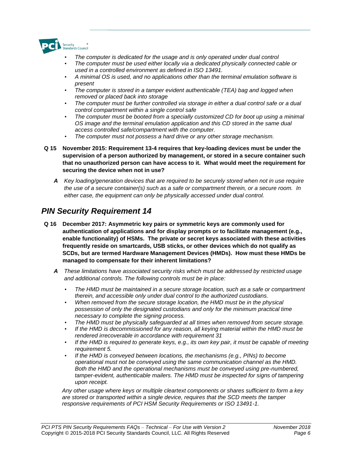

- *The computer is dedicated for the usage and is only operated under dual control*
- *The computer must be used either locally via a dedicated physically connected cable or used in a controlled environment as defined in ISO 13491.*
- *A minimal OS is used, and no applications other than the terminal emulation software is present*
- *The computer is stored in a tamper evident authenticable (TEA) bag and logged when removed or placed back into storage*
- *The computer must be further controlled via storage in either a dual control safe or a dual control compartment within a single control safe*
- *The computer must be booted from a specially customized CD for boot up using a minimal OS image and the terminal emulation application and this CD stored in the same dual access controlled safe/compartment with the computer.*
- *The computer must not possess a hard drive or any other storage mechanism.*
- **Q 15 November 2015: Requirement 13-4 requires that key-loading devices must be under the supervision of a person authorized by management, or stored in a secure container such that no unauthorized person can have access to it. What would meet the requirement for securing the device when not in use?**
	- *A Key loading/generation devices that are required to be securely stored when not in use require the use of a secure container(s) such as a safe or compartment therein, or a secure room. In either case, the equipment can only be physically accessed under dual control.*

- **Q 16 December 2017: Asymmetric key pairs or symmetric keys are commonly used for authentication of applications and for display prompts or to facilitate management (e.g., enable functionality) of HSMs. The private or secret keys associated with these activities frequently reside on smartcards, USB sticks, or other devices which do not qualify as SCDs, but are termed Hardware Management Devices (HMDs). How must these HMDs be managed to compensate for their inherent limitations?**
	- *A These limitations have associated security risks which must be addressed by restricted usage and additional controls. The following controls must be in place:*
		- *The HMD must be maintained in a secure storage location, such as a safe or compartment therein, and accessible only under dual control to the authorized custodians.*
		- *When removed from the secure storage location, the HMD must be in the physical possession of only the designated custodians and only for the minimum practical time necessary to complete the signing process.*
		- *The HMD must be physically safeguarded at all times when removed from secure storage.*
		- *If the HMD is decommissioned for any reason, all keying material within the HMD must be rendered irrecoverable in accordance with requirement 31*
		- *If the HMD is required to generate keys, e.g., its own key pair, it must be capable of meeting requirement 5.*
		- *If the HMD is conveyed between locations, the mechanisms (e.g., PINs) to become operational must not be conveyed using the same communication channel as the HMD. Both the HMD and the operational mechanisms must be conveyed using pre-numbered, tamper-evident, authenticable mailers. The HMD must be inspected for signs of tampering upon receipt.*

*Any other usage where keys or multiple cleartext components or shares sufficient to form a key are stored or transported within a single device, requires that the SCD meets the tamper responsive requirements of PCI HSM Security Requirements or ISO 13491-1.*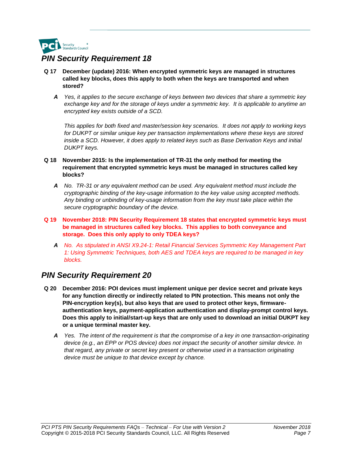

- **Q 17 December (update) 2016: When encrypted symmetric keys are managed in structures called key blocks, does this apply to both when the keys are transported and when stored?**
	- *A Yes, it applies to the secure exchange of keys between two devices that share a symmetric key exchange key and for the storage of keys under a symmetric key. It is applicable to anytime an encrypted key exists outside of a SCD.*

*This applies for both fixed and master/session key scenarios. It does not apply to working keys*  for DUKPT or similar unique key per transaction implementations where these keys are stored *inside a SCD. However, it does apply to related keys such as Base Derivation Keys and initial DUKPT keys.*

- **Q 18 November 2015: Is the implementation of TR-31 the only method for meeting the requirement that encrypted symmetric keys must be managed in structures called key blocks?**
	- *A No. TR-31 or any equivalent method can be used. Any equivalent method must include the cryptographic binding of the key-usage information to the key value using accepted methods. Any binding or unbinding of key-usage information from the key must take place within the secure cryptographic boundary of the device.*
- **Q 19 November 2018: PIN Security Requirement 18 states that encrypted symmetric keys must be managed in structures called key blocks. This applies to both conveyance and storage. Does this only apply to only TDEA keys?**
	- *A No. As stipulated in ANSI X9.24-1: Retail Financial Services Symmetric Key Management Part 1: Using Symmetric Techniques, both AES and TDEA keys are required to be managed in key blocks.*

- **Q 20 December 2016: POI devices must implement unique per device secret and private keys for any function directly or indirectly related to PIN protection. This means not only the PIN-encryption key(s), but also keys that are used to protect other keys, firmwareauthentication keys, payment-application authentication and display-prompt control keys. Does this apply to initial/start-up keys that are only used to download an initial DUKPT key or a unique terminal master key.**
	- *A Yes. The intent of the requirement is that the compromise of a key in one transaction-originating device (e.g., an EPP or POS device) does not impact the security of another similar device. In that regard, any private or secret key present or otherwise used in a transaction originating device must be unique to that device except by chance.*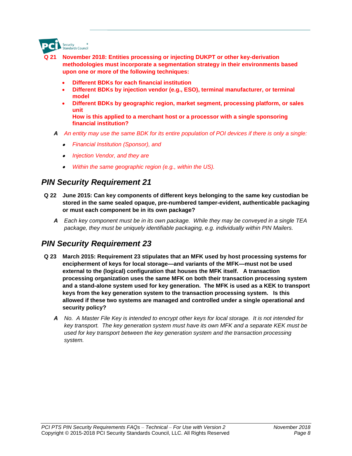

- **Q 21 November 2018: Entities processing or injecting DUKPT or other key-derivation methodologies must incorporate a segmentation strategy in their environments based upon one or more of the following techniques:** 
	- **Different BDKs for each financial institution**
	- **Different BDKs by injection vendor (e.g., ESO), terminal manufacturer, or terminal model**
	- **Different BDKs by geographic region, market segment, processing platform, or sales unit**

**How is this applied to a merchant host or a processor with a single sponsoring financial institution?**

- *A An entity may use the same BDK for its entire population of POI devices if there is only a single:*
	- *Financial Institution (Sponsor), and*
	- *Injection Vendor, and they are*
	- *Within the same geographic region (e.g., within the US).*

#### *PIN Security Requirement 21*

- **Q 22 June 2015: Can key components of different keys belonging to the same key custodian be stored in the same sealed opaque, pre-numbered tamper-evident, authenticable packaging or must each component be in its own package?**
	- *A Each key component must be in its own package. While they may be conveyed in a single TEA package, they must be uniquely identifiable packaging, e.g. individually within PIN Mailers.*

- **Q 23 March 2015: Requirement 23 stipulates that an MFK used by host processing systems for encipherment of keys for local storage—and variants of the MFK—must not be used external to the (logical) configuration that houses the MFK itself. A transaction processing organization uses the same MFK on both their transaction processing system and a stand-alone system used for key generation. The MFK is used as a KEK to transport keys from the key generation system to the transaction processing system. Is this allowed if these two systems are managed and controlled under a single operational and security policy?**
	- *A No. A Master File Key is intended to encrypt other keys for local storage. It is not intended for key transport. The key generation system must have its own MFK and a separate KEK must be used for key transport between the key generation system and the transaction processing system.*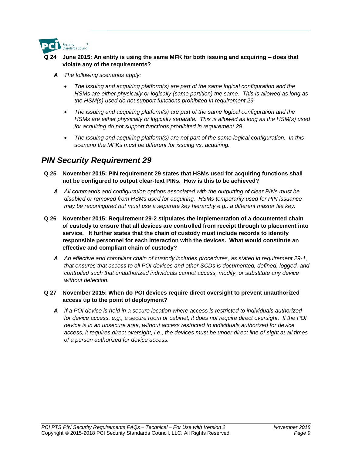

#### **Q 24 June 2015: An entity is using the same MFK for both issuing and acquiring – does that violate any of the requirements?**

- *A The following scenarios apply:*
	- *The issuing and acquiring platform(s) are part of the same logical configuration and the HSMs are either physically or logically (same partition) the same. This is allowed as long as the HSM(s) used do not support functions prohibited in requirement 29.*
	- *The issuing and acquiring platform(s) are part of the same logical configuration and the HSMs are either physically or logically separate. This is allowed as long as the HSM(s) used for acquiring do not support functions prohibited in requirement 29.*
	- *The issuing and acquiring platform(s) are not part of the same logical configuration. In this scenario the MFKs must be different for issuing vs. acquiring.*

### *PIN Security Requirement 29*

- **Q 25 November 2015: PIN requirement 29 states that HSMs used for acquiring functions shall not be configured to output clear-text PINs. How is this to be achieved?**
	- *A All commands and configuration options associated with the outputting of clear PINs must be disabled or removed from HSMs used for acquiring. HSMs temporarily used for PIN issuance may be reconfigured but must use a separate key hierarchy e.g., a different master file key.*
- **Q 26 November 2015: Requirement 29-2 stipulates the implementation of a documented chain of custody to ensure that all devices are controlled from receipt through to placement into service. It further states that the chain of custody must include records to identify responsible personnel for each interaction with the devices. What would constitute an effective and compliant chain of custody?**
	- *A An effective and compliant chain of custody includes procedures, as stated in requirement 29-1, that ensures that access to all POI devices and other SCDs is documented, defined, logged, and controlled such that unauthorized individuals cannot access, modify, or substitute any device without detection.*

#### **Q 27 November 2015: When do POI devices require direct oversight to prevent unauthorized access up to the point of deployment?**

*A If a POI device is held in a secure location where access is restricted to individuals authorized for device access, e.g., a secure room or cabinet, it does not require direct oversight. If the POI device is in an unsecure area, without access restricted to individuals authorized for device access, it requires direct oversight, i.e., the devices must be under direct line of sight at all times of a person authorized for device access.*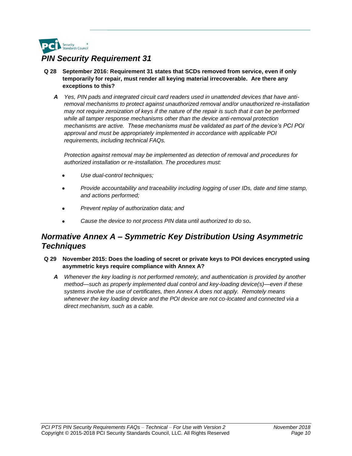

- **Q 28 September 2016: Requirement 31 states that SCDs removed from service, even if only temporarily for repair, must render all keying material irrecoverable. Are there any exceptions to this?** 
	- *A Yes, PIN pads and integrated circuit card readers used in unattended devices that have antiremoval mechanisms to protect against unauthorized removal and/or unauthorized re-installation may not require zeroization of keys if the nature of the repair is such that it can be performed while all tamper response mechanisms other than the device anti-removal protection mechanisms are active. These mechanisms must be validated as part of the device's PCI POI approval and must be appropriately implemented in accordance with applicable POI requirements, including technical FAQs.*

*Protection against removal may be implemented as detection of removal and procedures for authorized installation or re-installation. The procedures must:*

- *Use dual-control techniques;*
- *Provide accountability and traceability including logging of user IDs, date and time stamp, and actions performed;*
- *Prevent replay of authorization data; and*
- *Cause the device to not process PIN data until authorized to do so.*

### *Normative Annex A – Symmetric Key Distribution Using Asymmetric Techniques*

- **Q 29 November 2015: Does the loading of secret or private keys to POI devices encrypted using asymmetric keys require compliance with Annex A?**
	- *A Whenever the key loading is not performed remotely, and authentication is provided by another method—such as properly implemented dual control and key-loading device(s)—even if these systems involve the use of certificates, then Annex A does not apply. Remotely means whenever the key loading device and the POI device are not co-located and connected via a direct mechanism, such as a cable.*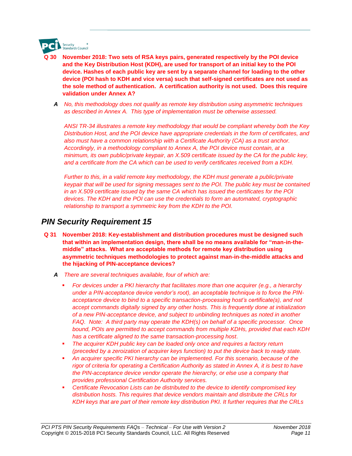

- **Q 30 November 2018: Two sets of RSA keys pairs, generated respectively by the POI device and the Key Distribution Host (KDH), are used for transport of an initial key to the POI device. Hashes of each public key are sent by a separate channel for loading to the other device (POI hash to KDH and vice versa) such that self-signed certificates are not used as the sole method of authentication. A certification authority is not used. Does this require validation under Annex A?**
- *A No, this methodology does not qualify as remote key distribution using asymmetric techniques as described in Annex A. This type of implementation must be otherwise assessed.*

*ANSI TR-34 illustrates a remote key methodology that would be compliant whereby both the Key Distribution Host, and the POI device have appropriate credentials in the form of certificates, and also must have a common relationship with a Certificate Authority (CA) as a trust anchor. Accordingly, in a methodology compliant to Annex A, the POI device must contain, at a minimum, its own public/private keypair, an X.509 certificate issued by the CA for the public key, and a certificate from the CA which can be used to verify certificates received from a KDH.* 

*Further to this, in a valid remote key methodology, the KDH must generate a public/private keypair that will be used for signing messages sent to the POI. The public key must be contained in an X.509 certificate issued by the same CA which has issued the certificates for the POI devices. The KDH and the POI can use the credentials to form an automated, cryptographic relationship to transport a symmetric key from the KDH to the POI.*

- **Q 31 November 2018: Key-establishment and distribution procedures must be designed such that within an implementation design, there shall be no means available for "man-in-themiddle" attacks. What are acceptable methods for remote key distribution using asymmetric techniques methodologies to protect against man-in-the-middle attacks and the hijacking of PIN-acceptance devices?**
	- *A There are several techniques available, four of which are:*
		- For devices under a PKI hierarchy that facilitates more than one acquirer (e.g., a hierarchy *under a PIN-acceptance device vendor's root), an acceptable technique is to force the PINacceptance device to bind to a specific transaction-processing host's certificate(s), and not accept commands digitally signed by any other hosts. This is frequently done at initialization of a new PIN-acceptance device, and subject to unbinding techniques as noted in another FAQ. Note: A third party may operate the KDH(s) on behalf of a specific processor. Once bound, POIs are permitted to accept commands from multiple KDHs, provided that each KDH has a certificate aligned to the same transaction-processing host*.
		- **The acquirer KDH public key can be loaded only once and requires a factory return** *(preceded by a zeroization of acquirer keys function) to put the device back to ready state.*
		- An acquirer specific PKI hierarchy can be implemented. For this scenario, because of the *rigor of criteria for operating a Certification Authority as stated in Annex A, it is best to have the PIN-acceptance device vendor operate the hierarchy, or else use a company that provides professional Certification Authority services.*
		- *Certificate Revocation Lists can be distributed to the device to identify compromised key distribution hosts. This requires that device vendors maintain and distribute the CRLs for KDH keys that are part of their remote key distribution PKI. It further requires that the CRLs*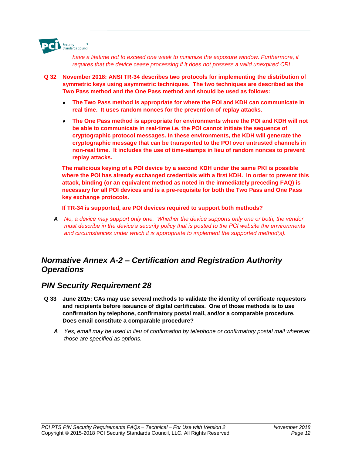

have a lifetime not to exceed one week to minimize the exposure window. Furthermore, it *requires that the device cease processing if it does not possess a valid unexpired CRL.*

- **Q 32 November 2018: ANSI TR-34 describes two protocols for implementing the distribution of symmetric keys using asymmetric techniques. The two techniques are described as the Two Pass method and the One Pass method and should be used as follows:** 
	- **The Two Pass method is appropriate for where the POI and KDH can communicate in real time. It uses random nonces for the prevention of replay attacks.**
	- **The One Pass method is appropriate for environments where the POI and KDH will not be able to communicate in real-time i.e. the POI cannot initiate the sequence of cryptographic protocol messages. In these environments, the KDH will generate the cryptographic message that can be transported to the POI over untrusted channels in non-real time. It includes the use of time-stamps in lieu of random nonces to prevent replay attacks.**

**The malicious keying of a POI device by a second KDH under the same PKI is possible where the POI has already exchanged credentials with a first KDH. In order to prevent this attack, binding (or an equivalent method as noted in the immediately preceding FAQ) is necessary for all POI devices and is a pre-requisite for both the Two Pass and One Pass key exchange protocols.** 

**If TR-34 is supported, are POI devices required to support both methods?** 

*A No, a device may support only one. Whether the device supports only one or both, the vendor must describe in the device's security policy that is posted to the PCI website the environments and circumstances under which it is appropriate to implement the supported method(s).*

### *Normative Annex A-2 – Certification and Registration Authority Operations*

- **Q 33 June 2015: CAs may use several methods to validate the identity of certificate requestors and recipients before issuance of digital certificates. One of those methods is to use confirmation by telephone, confirmatory postal mail, and/or a comparable procedure. Does email constitute a comparable procedure?**
	- *A Yes, email may be used in lieu of confirmation by telephone or confirmatory postal mail wherever those are specified as options.*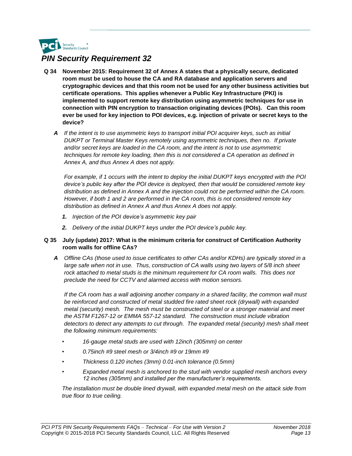

- **Q 34 November 2015: Requirement 32 of Annex A states that a physically secure, dedicated room must be used to house the CA and RA database and application servers and cryptographic devices and that this room not be used for any other business activities but certificate operations. This applies whenever a Public Key Infrastructure (PKI) is implemented to support remote key distribution using asymmetric techniques for use in connection with PIN encryption to transaction originating devices (POIs). Can this room ever be used for key injection to POI devices, e.g. injection of private or secret keys to the device?**
	- *A If the intent is to use asymmetric keys to transport initial POI acquirer keys, such as initial DUKPT or Terminal Master Keys remotely using asymmetric techniques, then no. If private and/or secret keys are loaded in the CA room, and the intent is not to use asymmetric techniques for remote key loading, then this is not considered a CA operation as defined in Annex A, and thus Annex A does not apply.*

*For example, if 1 occurs with the intent to deploy the initial DUKPT keys encrypted with the POI device's public key after the POI device is deployed, then that would be considered remote key distribution as defined in Annex A and the injection could not be performed within the CA room. However, if both 1 and 2 are performed in the CA room, this is not considered remote key distribution as defined in Annex A and thus Annex A does not apply.*

- *1. Injection of the POI device's asymmetric key pair*
- *2. Delivery of the initial DUKPT keys under the POI device's public key.*

#### **Q 35 July (update) 2017: What is the minimum criteria for construct of Certification Authority room walls for offline CAs?**

*A Offline CAs (those used to issue certificates to other CAs and/or KDHs) are typically stored in a*  large safe when not in use. Thus, construction of CA walls using two layers of 5/8 inch sheet rock attached to metal studs is the minimum requirement for CA room walls. This does not *preclude the need for CCTV and alarmed access with motion sensors.* 

*If the CA room has a wall adjoining another company in a shared facility, the common wall must be reinforced and constructed of metal studded fire rated sheet rock (drywall) with expanded metal (security) mesh. The mesh must be constructed of steel or a stronger material and meet the ASTM F1267-12 or EMMA 557-12 standard. The construction must include vibration detectors to detect any attempts to cut through. The expanded metal (security) mesh shall meet the following minimum requirements:*

- *• 16-gauge metal studs are used with 12inch (305mm) on center*
- *• 0.75inch #9 steel mesh or 3/4inch #9 or 19mm #9*
- *• Thickness 0.120 inches (3mm) 0.01-inch tolerance (0.5mm)*
- *• Expanded metal mesh is anchored to the stud with vendor supplied mesh anchors every 12 inches (305mm) and installed per the manufacturer's requirements.*

*The installation must be double lined drywall, with expanded metal mesh on the attack side from true floor to true ceiling.*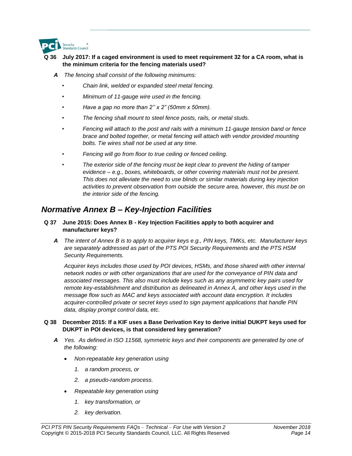

#### **Q 36 July 2017: If a caged environment is used to meet requirement 32 for a CA room, what is the minimum criteria for the fencing materials used?**

- *A The fencing shall consist of the following minimums:* 
	- *• Chain link, welded or expanded steel metal fencing.*
	- *• Minimum of 11-gauge wire used in the fencing.*
	- *• Have a gap no more than 2'' x 2" (50mm x 50mm).*
	- *• The fencing shall mount to steel fence posts, rails, or metal studs.*
	- *• Fencing will attach to the post and rails with a minimum 11-gauge tension band or fence brace and bolted together, or metal fencing will attach with vendor provided mounting bolts. Tie wires shall not be used at any time.*
	- *• Fencing will go from floor to true ceiling or fenced ceiling.*
	- *• The exterior side of the fencing must be kept clear to prevent the hiding of tamper evidence – e.g., boxes, whiteboards, or other covering materials must not be present. This does not alleviate the need to use blinds or similar materials during key injection activities to prevent observation from outside the secure area, however, this must be on the interior side of the fencing.*

### *Normative Annex B – Key-Injection Facilities*

#### **Q 37 June 2015: Does Annex B - Key Injection Facilities apply to both acquirer and manufacturer keys?**

*A The intent of Annex B is to apply to acquirer keys e.g., PIN keys, TMKs, etc. Manufacturer keys are separately addressed as part of the PTS POI Security Requirements and the PTS HSM Security Requirements.*

*Acquirer keys includes those used by POI devices, HSMs, and those shared with other internal network nodes or with other organizations that are used for the conveyance of PIN data and associated messages. This also must include keys such as any asymmetric key pairs used for remote key-establishment and distribution as delineated in Annex A, and other keys used in the message flow such as MAC and keys associated with account data encryption. It includes acquirer-controlled private or secret keys used to sign payment applications that handle PIN data, display prompt control data, etc.*

#### **Q 38 December 2015: If a KIF uses a Base Derivation Key to derive initial DUKPT keys used for DUKPT in POI devices, is that considered key generation?**

- *A Yes. As defined in ISO 11568, symmetric keys and their components are generated by one of the following:*
	- *Non-repeatable key generation using*
		- *1. a random process, or*
		- *2. a pseudo-random process.*
	- *Repeatable key generation using*
		- *1. key transformation, or*
		- *2. key derivation.*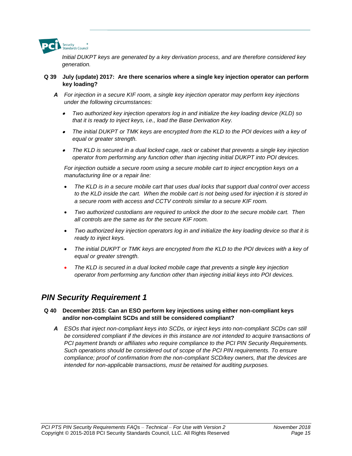

*Initial DUKPT keys are generated by a key derivation process, and are therefore considered key generation.* 

#### **Q 39 July (update) 2017: Are there scenarios where a single key injection operator can perform key loading?**

- *A For injection in a secure KIF room, a single key injection operator may perform key injections under the following circumstances:*
	- • *Two authorized key injection operators log in and initialize the key loading device (KLD) so that it is ready to inject keys, i.e., load the Base Derivation Key.*
	- • *The initial DUKPT or TMK keys are encrypted from the KLD to the POI devices with a key of equal or greater strength.*
	- • *The KLD is secured in a dual locked cage, rack or cabinet that prevents a single key injection operator from performing any function other than injecting initial DUKPT into POI devices.*

*For injection outside a secure room using a secure mobile cart to inject encryption keys on a manufacturing line or a repair line:*

- *The KLD is in a secure mobile cart that uses dual locks that support dual control over access*  to the KLD inside the cart. When the mobile cart is not being used for injection it is stored in *a secure room with access and CCTV controls similar to a secure KIF room.*
- *Two authorized custodians are required to unlock the door to the secure mobile cart. Then all controls are the same as for the secure KIF room.*
- *Two authorized key injection operators log in and initialize the key loading device so that it is ready to inject keys.*
- *The initial DUKPT or TMK keys are encrypted from the KLD to the POI devices with a key of equal or greater strength.*
- *The KLD is secured in a dual locked mobile cage that prevents a single key injection operator from performing any function other than injecting initial keys into POI devices.*

#### *PIN Security Requirement 1*

#### **Q 40 December 2015: Can an ESO perform key injections using either non-compliant keys and/or non-complaint SCDs and still be considered compliant?**

*A ESOs that inject non-compliant keys into SCDs, or inject keys into non-compliant SCDs can still be considered compliant if the devices in this instance are not intended to acquire transactions of PCI payment brands or affiliates who require compliance to the PCI PIN Security Requirements. Such operations should be considered out of scope of the PCI PIN requirements. To ensure compliance; proof of confirmation from the non-compliant SCD/key owners, that the devices are intended for non-applicable transactions, must be retained for auditing purposes.*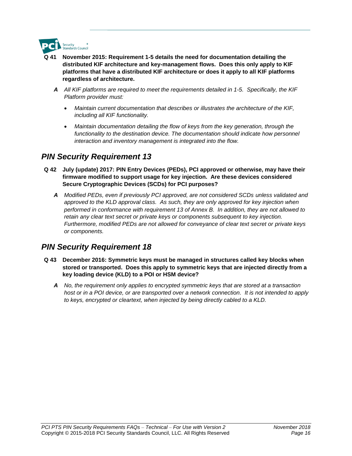

- **Q 41 November 2015: Requirement 1-5 details the need for documentation detailing the distributed KIF architecture and key-management flows. Does this only apply to KIF platforms that have a distributed KIF architecture or does it apply to all KIF platforms regardless of architecture.**
	- *A All KIF platforms are required to meet the requirements detailed in 1-5. Specifically, the KIF Platform provider must:*
		- *Maintain current documentation that describes or illustrates the architecture of the KIF, including all KIF functionality.*
		- *Maintain documentation detailing the flow of keys from the key generation, through the*  functionality to the destination device. The documentation should indicate how personnel *interaction and inventory management is integrated into the flow.*

- **Q 42 July (update) 2017: PIN Entry Devices (PEDs), PCI approved or otherwise, may have their firmware modified to support usage for key injection. Are these devices considered Secure Cryptographic Devices (SCDs) for PCI purposes?**
	- *A Modified PEDs, even if previously PCI approved, are not considered SCDs unless validated and approved to the KLD approval class. As such, they are only approved for key injection when performed in conformance with requirement 13 of Annex B. In addition, they are not allowed to retain any clear text secret or private keys or components subsequent to key injection. Furthermore, modified PEDs are not allowed for conveyance of clear text secret or private keys or components.*

- **Q 43 December 2016: Symmetric keys must be managed in structures called key blocks when stored or transported. Does this apply to symmetric keys that are injected directly from a key loading device (KLD) to a POI or HSM device?**
	- *A No, the requirement only applies to encrypted symmetric keys that are stored at a transaction host or in a POI device, or are transported over a network connection. It is not intended to apply to keys, encrypted or cleartext, when injected by being directly cabled to a KLD.*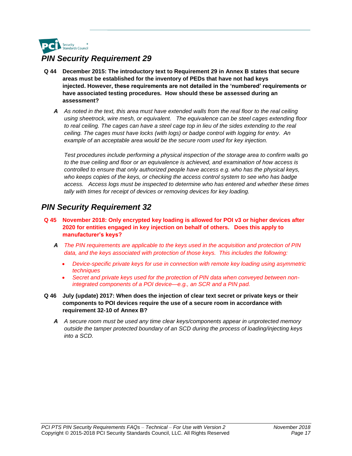

- **Q 44 December 2015: The introductory text to Requirement 29 in Annex B states that secure areas must be established for the inventory of PEDs that have not had keys injected. However, these requirements are not detailed in the 'numbered' requirements or have associated testing procedures. How should these be assessed during an assessment?**
	- *A As noted in the text, this area must have extended walls from the real floor to the real ceiling using sheetrock, wire mesh, or equivalent. The equivalence can be steel cages extending floor*  to real ceiling. The cages can have a steel cage top in lieu of the sides extending to the real *ceiling. The cages must have locks (with logs) or badge control with logging for entry. An example of an acceptable area would be the secure room used for key injection.*

*Test procedures include performing a physical inspection of the storage area to confirm walls go to the true ceiling and floor or an equivalence is achieved, and examination of how access is controlled to ensure that only authorized people have access e.g. who has the physical keys, who keeps copies of the keys, or checking the access control system to see who has badge access. Access logs must be inspected to determine who has entered and whether these times tally with times for receipt of devices or removing devices for key loading.*

- **Q 45 November 2018: Only encrypted key loading is allowed for POI v3 or higher devices after 2020 for entities engaged in key injection on behalf of others. Does this apply to manufacturer's keys?**
	- *A The PIN requirements are applicable to the keys used in the acquisition and protection of PIN data, and the keys associated with protection of those keys. This includes the following:*
		- *Device-specific private keys for use in connection with remote key loading using asymmetric techniques*
		- *Secret and private keys used for the protection of PIN data when conveyed between nonintegrated components of a POI device—e.g., an SCR and a PIN pad.*
- **Q 46 July (update) 2017: When does the injection of clear text secret or private keys or their components to POI devices require the use of a secure room in accordance with requirement 32-10 of Annex B?**
	- *A A secure room must be used any time clear keys/components appear in unprotected memory outside the tamper protected boundary of an SCD during the process of loading/injecting keys into a SCD.*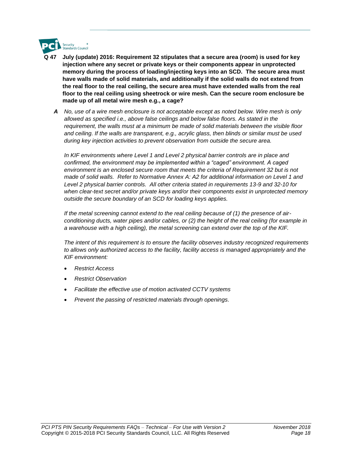

- **Q 47 July (update) 2016: Requirement 32 stipulates that a secure area (room) is used for key injection where any secret or private keys or their components appear in unprotected memory during the process of loading/injecting keys into an SCD. The secure area must have walls made of solid materials, and additionally if the solid walls do not extend from the real floor to the real ceiling, the secure area must have extended walls from the real floor to the real ceiling using sheetrock or wire mesh. Can the secure room enclosure be made up of all metal wire mesh e.g., a cage?**
	- *A No, use of a wire mesh enclosure is not acceptable except as noted below. Wire mesh is only allowed as specified i.e., above false ceilings and below false floors. As stated in the requirement, the walls must at a minimum be made of solid materials between the visible floor and ceiling. If the walls are transparent, e.g., acrylic glass, then blinds or similar must be used during key injection activities to prevent observation from outside the secure area.*

In KIF environments where Level 1 and Level 2 physical barrier controls are in place and *confirmed, the environment may be implemented within a "caged" environment. A caged environment is an enclosed secure room that meets the criteria of Requirement 32 but is not made of solid walls. Refer to Normative Annex A: A2 for additional information on Level 1 and Level 2 physical barrier controls. All other criteria stated in requirements 13-9 and 32-10 for when clear-text secret and/or private keys and/or their components exist in unprotected memory outside the secure boundary of an SCD for loading keys applies.* 

*If the metal screening cannot extend to the real ceiling because of (1) the presence of airconditioning ducts, water pipes and/or cables, or (2) the height of the real ceiling (for example in a warehouse with a high ceiling), the metal screening can extend over the top of the KIF.*

*The intent of this requirement is to ensure the facility observes industry recognized requirements to allows only authorized access to the facility, facility access is managed appropriately and the KIF environment:*

- *Restrict Access*
- *Restrict Observation*
- *Facilitate the effective use of motion activated CCTV systems*
- *Prevent the passing of restricted materials through openings.*